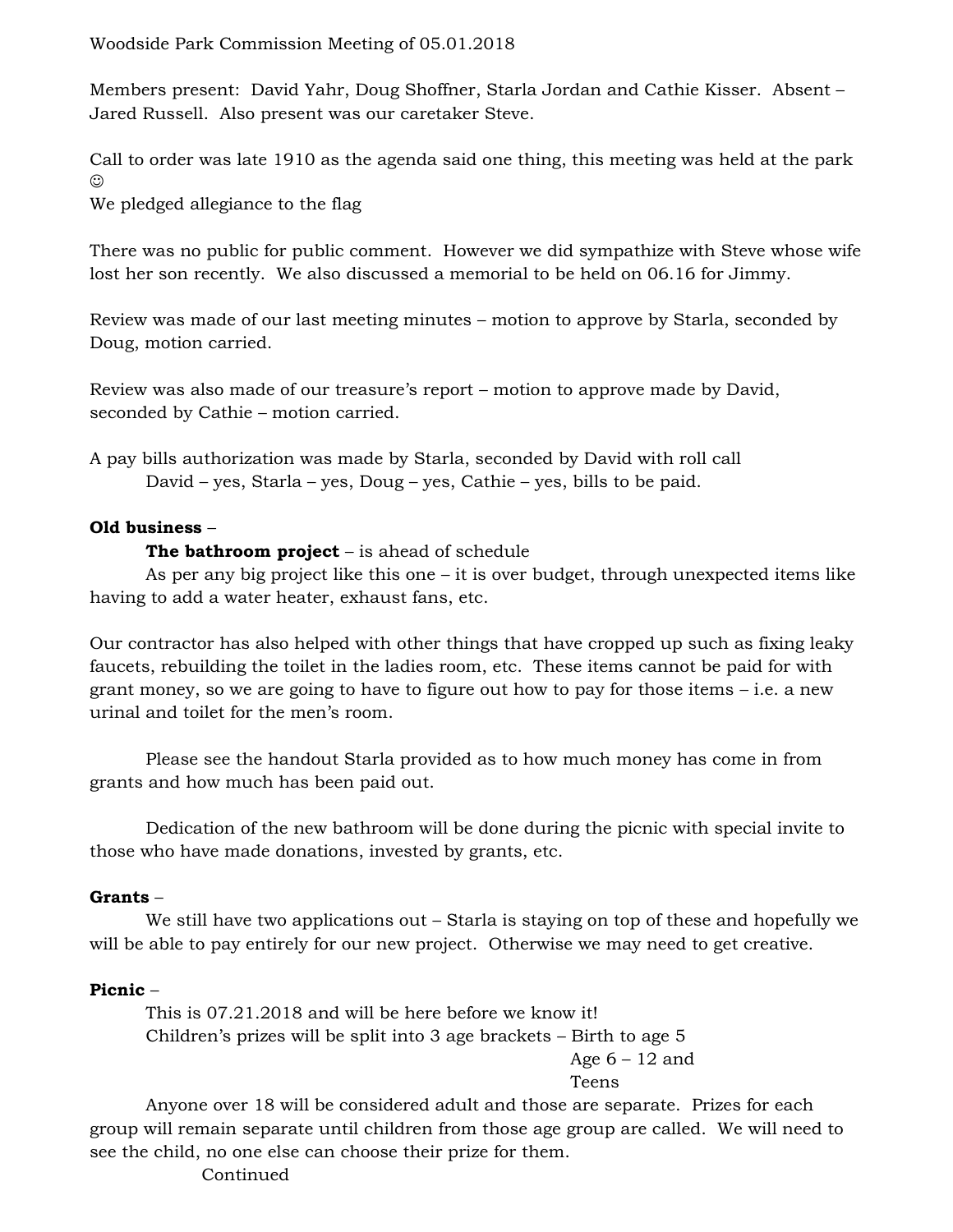Members present: David Yahr, Doug Shoffner, Starla Jordan and Cathie Kisser. Absent – Jared Russell. Also present was our caretaker Steve.

Call to order was late 1910 as the agenda said one thing, this meeting was held at the park  $\odot$ 

We pledged allegiance to the flag

There was no public for public comment. However we did sympathize with Steve whose wife lost her son recently. We also discussed a memorial to be held on 06.16 for Jimmy.

Review was made of our last meeting minutes – motion to approve by Starla, seconded by Doug, motion carried.

Review was also made of our treasure's report – motion to approve made by David, seconded by Cathie – motion carried.

A pay bills authorization was made by Starla, seconded by David with roll call David – yes, Starla – yes, Doug – yes, Cathie – yes, bills to be paid.

# **Old business** –

## **The bathroom project** – is ahead of schedule

As per any big project like this one  $-$  it is over budget, through unexpected items like having to add a water heater, exhaust fans, etc.

Our contractor has also helped with other things that have cropped up such as fixing leaky faucets, rebuilding the toilet in the ladies room, etc. These items cannot be paid for with grant money, so we are going to have to figure out how to pay for those items – i.e. a new urinal and toilet for the men's room.

Please see the handout Starla provided as to how much money has come in from grants and how much has been paid out.

Dedication of the new bathroom will be done during the picnic with special invite to those who have made donations, invested by grants, etc.

#### **Grants** –

We still have two applications out – Starla is staying on top of these and hopefully we will be able to pay entirely for our new project. Otherwise we may need to get creative.

# **Picnic** –

This is 07.21.2018 and will be here before we know it! Children's prizes will be split into 3 age brackets – Birth to age 5

Age  $6 - 12$  and Teens

Anyone over 18 will be considered adult and those are separate. Prizes for each group will remain separate until children from those age group are called. We will need to see the child, no one else can choose their prize for them.

**Continued**